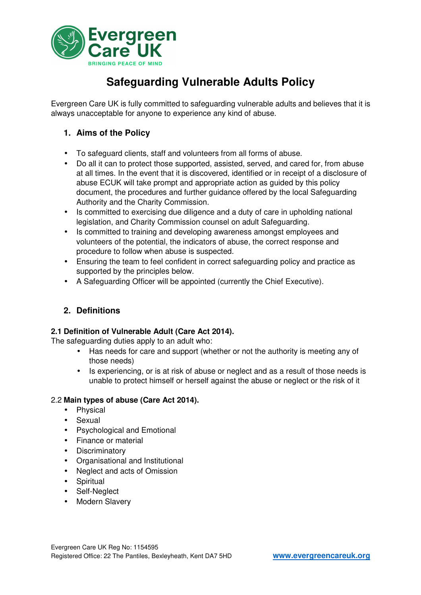

# **Safeguarding Vulnerable Adults Policy**

Evergreen Care UK is fully committed to safeguarding vulnerable adults and believes that it is always unacceptable for anyone to experience any kind of abuse.

## **1. Aims of the Policy**

- To safeguard clients, staff and volunteers from all forms of abuse.
- Do all it can to protect those supported, assisted, served, and cared for, from abuse at all times. In the event that it is discovered, identified or in receipt of a disclosure of abuse ECUK will take prompt and appropriate action as guided by this policy document, the procedures and further guidance offered by the local Safeguarding Authority and the Charity Commission.
- Is committed to exercising due diligence and a duty of care in upholding national legislation, and Charity Commission counsel on adult Safeguarding.
- Is committed to training and developing awareness amongst employees and volunteers of the potential, the indicators of abuse, the correct response and procedure to follow when abuse is suspected.
- Ensuring the team to feel confident in correct safeguarding policy and practice as supported by the principles below.
- A Safeguarding Officer will be appointed (currently the Chief Executive).

# **2. Definitions**

#### **2.1 Definition of Vulnerable Adult (Care Act 2014).**

The safeguarding duties apply to an adult who:

- Has needs for care and support (whether or not the authority is meeting any of those needs)
- Is experiencing, or is at risk of abuse or neglect and as a result of those needs is unable to protect himself or herself against the abuse or neglect or the risk of it

#### 2.2 **Main types of abuse (Care Act 2014).**

- Physical
- Sexual
- Psychological and Emotional
- Finance or material
- Discriminatory
- Organisational and Institutional
- Neglect and acts of Omission
- Spiritual
- Self-Neglect
- Modern Slavery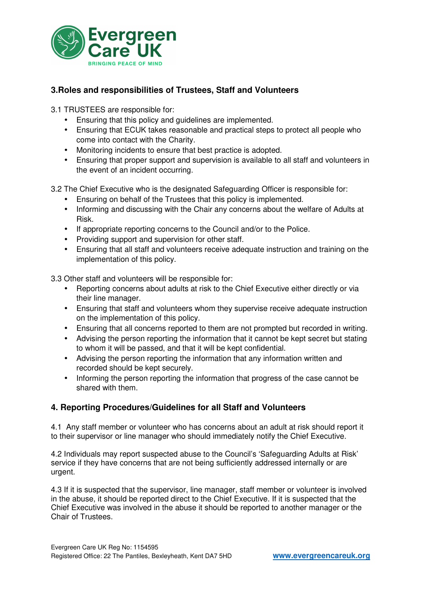

## **3.Roles and responsibilities of Trustees, Staff and Volunteers**

3.1 TRUSTEES are responsible for:

- Ensuring that this policy and guidelines are implemented.
- Ensuring that ECUK takes reasonable and practical steps to protect all people who come into contact with the Charity.
- Monitoring incidents to ensure that best practice is adopted.
- Ensuring that proper support and supervision is available to all staff and volunteers in the event of an incident occurring.

3.2 The Chief Executive who is the designated Safeguarding Officer is responsible for:

- Ensuring on behalf of the Trustees that this policy is implemented.
- Informing and discussing with the Chair any concerns about the welfare of Adults at Risk.
- If appropriate reporting concerns to the Council and/or to the Police.
- Providing support and supervision for other staff.
- Ensuring that all staff and volunteers receive adequate instruction and training on the implementation of this policy.

3.3 Other staff and volunteers will be responsible for:

- Reporting concerns about adults at risk to the Chief Executive either directly or via their line manager.
- Ensuring that staff and volunteers whom they supervise receive adequate instruction on the implementation of this policy.
- Ensuring that all concerns reported to them are not prompted but recorded in writing.
- Advising the person reporting the information that it cannot be kept secret but stating to whom it will be passed, and that it will be kept confidential.
- Advising the person reporting the information that any information written and recorded should be kept securely.
- Informing the person reporting the information that progress of the case cannot be shared with them.

#### **4. Reporting Procedures/Guidelines for all Staff and Volunteers**

4.1 Any staff member or volunteer who has concerns about an adult at risk should report it to their supervisor or line manager who should immediately notify the Chief Executive.

4.2 Individuals may report suspected abuse to the Council's 'Safeguarding Adults at Risk' service if they have concerns that are not being sufficiently addressed internally or are urgent.

4.3 If it is suspected that the supervisor, line manager, staff member or volunteer is involved in the abuse, it should be reported direct to the Chief Executive. If it is suspected that the Chief Executive was involved in the abuse it should be reported to another manager or the Chair of Trustees.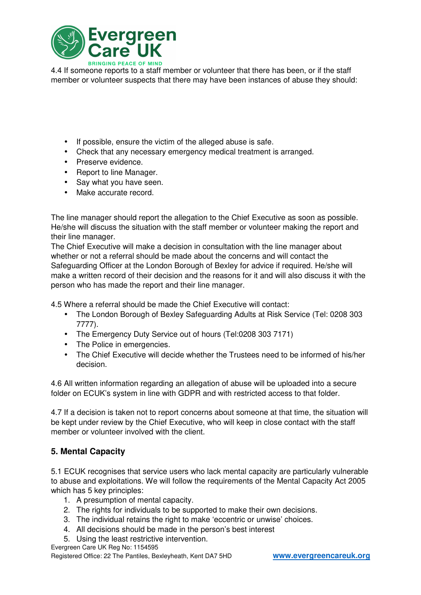

4.4 If someone reports to a staff member or volunteer that there has been, or if the staff member or volunteer suspects that there may have been instances of abuse they should:

- If possible, ensure the victim of the alleged abuse is safe.
- Check that any necessary emergency medical treatment is arranged.
- Preserve evidence.
- Report to line Manager.
- Say what you have seen.
- Make accurate record.

The line manager should report the allegation to the Chief Executive as soon as possible. He/she will discuss the situation with the staff member or volunteer making the report and their line manager.

The Chief Executive will make a decision in consultation with the line manager about whether or not a referral should be made about the concerns and will contact the Safeguarding Officer at the London Borough of Bexley for advice if required. He/she will make a written record of their decision and the reasons for it and will also discuss it with the person who has made the report and their line manager.

4.5 Where a referral should be made the Chief Executive will contact:

- The London Borough of Bexley Safeguarding Adults at Risk Service (Tel: 0208 303 7777).
- The Emergency Duty Service out of hours (Tel:0208 303 7171)
- The Police in emergencies.
- The Chief Executive will decide whether the Trustees need to be informed of his/her decision.

4.6 All written information regarding an allegation of abuse will be uploaded into a secure folder on ECUK's system in line with GDPR and with restricted access to that folder.

4.7 If a decision is taken not to report concerns about someone at that time, the situation will be kept under review by the Chief Executive, who will keep in close contact with the staff member or volunteer involved with the client.

## **5. Mental Capacity**

5.1 ECUK recognises that service users who lack mental capacity are particularly vulnerable to abuse and exploitations. We will follow the requirements of the Mental Capacity Act 2005 which has 5 key principles:

- 1. A presumption of mental capacity.
- 2. The rights for individuals to be supported to make their own decisions.
- 3. The individual retains the right to make 'eccentric or unwise' choices.
- 4. All decisions should be made in the person's best interest
- 5. Using the least restrictive intervention.
- Evergreen Care UK Reg No: 1154595

Registered Office: 22 The Pantiles, Bexleyheath, Kent DA7 5HD **www.evergreencareuk.org**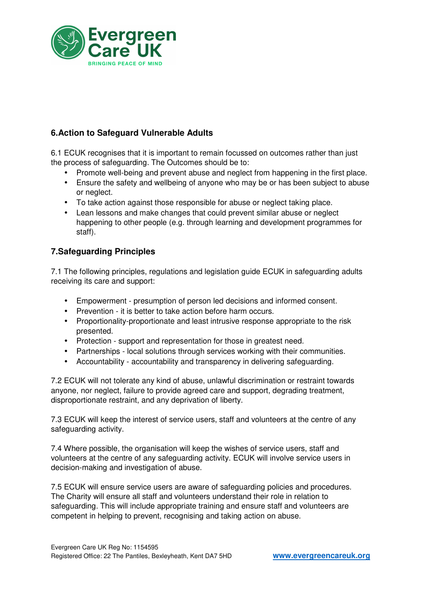

# **6.Action to Safeguard Vulnerable Adults**

6.1 ECUK recognises that it is important to remain focussed on outcomes rather than just the process of safeguarding. The Outcomes should be to:

- Promote well-being and prevent abuse and neglect from happening in the first place.
- Ensure the safety and wellbeing of anyone who may be or has been subject to abuse or neglect.
- To take action against those responsible for abuse or neglect taking place.
- Lean lessons and make changes that could prevent similar abuse or neglect happening to other people (e.g. through learning and development programmes for staff).

### **7.Safeguarding Principles**

7.1 The following principles, regulations and legislation guide ECUK in safeguarding adults receiving its care and support:

- Empowerment presumption of person led decisions and informed consent.
- Prevention it is better to take action before harm occurs.
- Proportionality-proportionate and least intrusive response appropriate to the risk presented.
- Protection support and representation for those in greatest need.
- Partnerships local solutions through services working with their communities.
- Accountability accountability and transparency in delivering safeguarding.

7.2 ECUK will not tolerate any kind of abuse, unlawful discrimination or restraint towards anyone, nor neglect, failure to provide agreed care and support, degrading treatment, disproportionate restraint, and any deprivation of liberty.

7.3 ECUK will keep the interest of service users, staff and volunteers at the centre of any safeguarding activity.

7.4 Where possible, the organisation will keep the wishes of service users, staff and volunteers at the centre of any safeguarding activity. ECUK will involve service users in decision-making and investigation of abuse.

7.5 ECUK will ensure service users are aware of safeguarding policies and procedures. The Charity will ensure all staff and volunteers understand their role in relation to safeguarding. This will include appropriate training and ensure staff and volunteers are competent in helping to prevent, recognising and taking action on abuse.